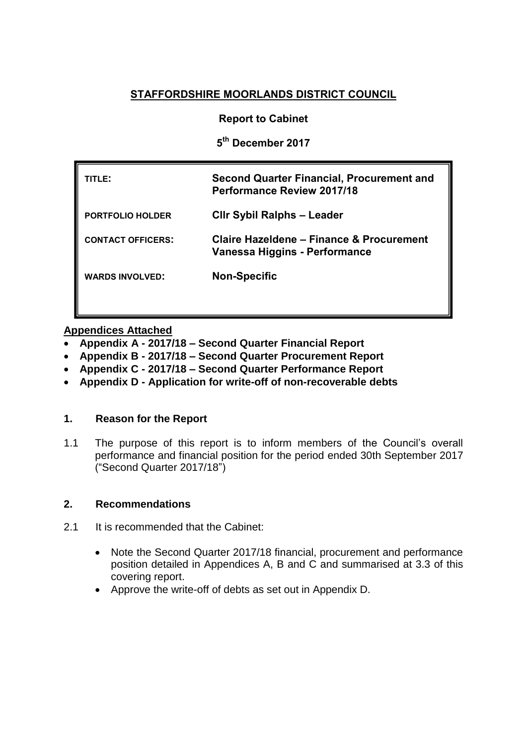## **STAFFORDSHIRE MOORLANDS DISTRICT COUNCIL**

### **Report to Cabinet**

**5 th December 2017**

| 'ITLE:                   | <b>Second Quarter Financial, Procurement and</b><br><b>Performance Review 2017/18</b> |
|--------------------------|---------------------------------------------------------------------------------------|
| <b>PORTFOLIO HOLDER</b>  | <b>CIIr Sybil Ralphs - Leader</b>                                                     |
| <b>CONTACT OFFICERS:</b> | Claire Hazeldene - Finance & Procurement<br>Vanessa Higgins - Performance             |
| <b>WARDS INVOLVED:</b>   | <b>Non-Specific</b>                                                                   |
|                          |                                                                                       |

### **Appendices Attached**

- **Appendix A - 2017/18 – Second Quarter Financial Report**
- **Appendix B - 2017/18 – Second Quarter Procurement Report**
- **Appendix C - 2017/18 – Second Quarter Performance Report**
- **Appendix D - Application for write-off of non-recoverable debts**

#### **1. Reason for the Report**

1.1 The purpose of this report is to inform members of the Council's overall performance and financial position for the period ended 30th September 2017 ("Second Quarter 2017/18")

### **2. Recommendations**

- 2.1 It is recommended that the Cabinet:
	- Note the Second Quarter 2017/18 financial, procurement and performance position detailed in Appendices A, B and C and summarised at 3.3 of this covering report.
	- Approve the write-off of debts as set out in Appendix D.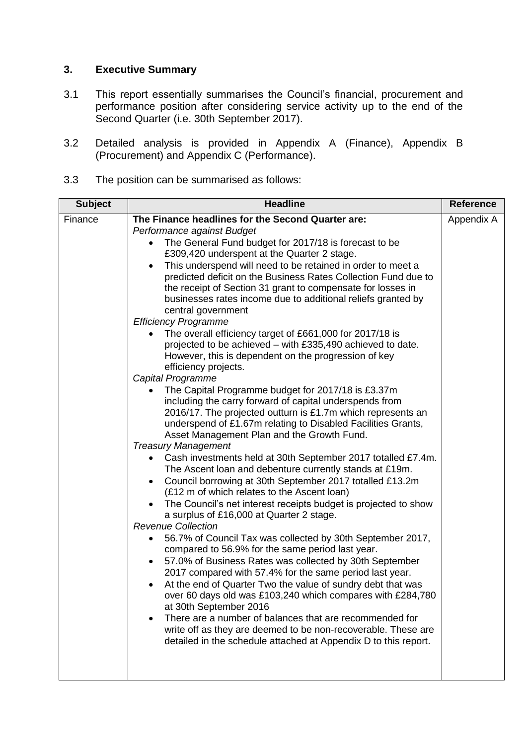# **3. Executive Summary**

- 3.1 This report essentially summarises the Council's financial, procurement and performance position after considering service activity up to the end of the Second Quarter (i.e. 30th September 2017).
- 3.2 Detailed analysis is provided in Appendix A (Finance), Appendix B (Procurement) and Appendix C (Performance).
- 3.3 The position can be summarised as follows:

| <b>Subject</b><br><b>Headline</b>                                                                                                                                                                                                                                                                                                                                                                                                                                                                                                                                                                                                                                                                                                                                                                                                                                                                                                                                                                                                                                                                                                                                                                                                                                                                                                                                                                                                                                                                                                                                                                                                                                                                                                                                                                                                                                                                                                                                                                                                                                                                                                                                  | <b>Reference</b> |
|--------------------------------------------------------------------------------------------------------------------------------------------------------------------------------------------------------------------------------------------------------------------------------------------------------------------------------------------------------------------------------------------------------------------------------------------------------------------------------------------------------------------------------------------------------------------------------------------------------------------------------------------------------------------------------------------------------------------------------------------------------------------------------------------------------------------------------------------------------------------------------------------------------------------------------------------------------------------------------------------------------------------------------------------------------------------------------------------------------------------------------------------------------------------------------------------------------------------------------------------------------------------------------------------------------------------------------------------------------------------------------------------------------------------------------------------------------------------------------------------------------------------------------------------------------------------------------------------------------------------------------------------------------------------------------------------------------------------------------------------------------------------------------------------------------------------------------------------------------------------------------------------------------------------------------------------------------------------------------------------------------------------------------------------------------------------------------------------------------------------------------------------------------------------|------------------|
| The Finance headlines for the Second Quarter are:<br>Finance<br>Performance against Budget<br>The General Fund budget for 2017/18 is forecast to be<br>$\bullet$<br>£309,420 underspent at the Quarter 2 stage.<br>This underspend will need to be retained in order to meet a<br>$\bullet$<br>predicted deficit on the Business Rates Collection Fund due to<br>the receipt of Section 31 grant to compensate for losses in<br>businesses rates income due to additional reliefs granted by<br>central government<br><b>Efficiency Programme</b><br>The overall efficiency target of £661,000 for 2017/18 is<br>projected to be achieved - with £335,490 achieved to date.<br>However, this is dependent on the progression of key<br>efficiency projects.<br>Capital Programme<br>The Capital Programme budget for 2017/18 is £3.37m<br>$\bullet$<br>including the carry forward of capital underspends from<br>2016/17. The projected outturn is £1.7m which represents an<br>underspend of £1.67m relating to Disabled Facilities Grants,<br>Asset Management Plan and the Growth Fund.<br><b>Treasury Management</b><br>Cash investments held at 30th September 2017 totalled £7.4m.<br>The Ascent loan and debenture currently stands at £19m.<br>Council borrowing at 30th September 2017 totalled £13.2m<br>$\bullet$<br>(£12 m of which relates to the Ascent loan)<br>The Council's net interest receipts budget is projected to show<br>a surplus of £16,000 at Quarter 2 stage.<br><b>Revenue Collection</b><br>56.7% of Council Tax was collected by 30th September 2017,<br>٠<br>compared to 56.9% for the same period last year.<br>57.0% of Business Rates was collected by 30th September<br>$\bullet$<br>2017 compared with 57.4% for the same period last year.<br>At the end of Quarter Two the value of sundry debt that was<br>$\bullet$<br>over 60 days old was £103,240 which compares with £284,780<br>at 30th September 2016<br>There are a number of balances that are recommended for<br>$\bullet$<br>write off as they are deemed to be non-recoverable. These are<br>detailed in the schedule attached at Appendix D to this report. | Appendix A       |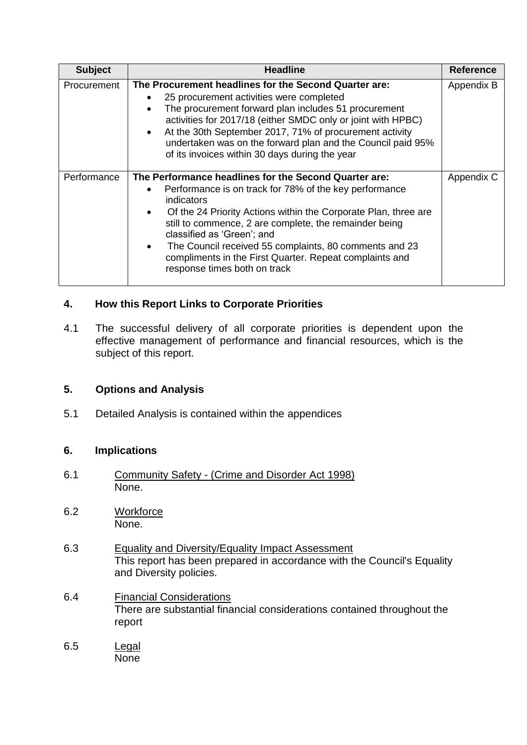| <b>Subject</b> | <b>Headline</b>                                                                                                                                                                                                                                                                                                                                                                                                                                                                      | <b>Reference</b> |
|----------------|--------------------------------------------------------------------------------------------------------------------------------------------------------------------------------------------------------------------------------------------------------------------------------------------------------------------------------------------------------------------------------------------------------------------------------------------------------------------------------------|------------------|
| Procurement    | The Procurement headlines for the Second Quarter are:<br>25 procurement activities were completed<br>The procurement forward plan includes 51 procurement<br>activities for 2017/18 (either SMDC only or joint with HPBC)<br>At the 30th September 2017, 71% of procurement activity<br>undertaken was on the forward plan and the Council paid 95%<br>of its invoices within 30 days during the year                                                                                | Appendix B       |
| Performance    | The Performance headlines for the Second Quarter are:<br>Performance is on track for 78% of the key performance<br>$\bullet$<br>indicators<br>Of the 24 Priority Actions within the Corporate Plan, three are<br>$\bullet$<br>still to commence, 2 are complete, the remainder being<br>classified as 'Green'; and<br>The Council received 55 complaints, 80 comments and 23<br>$\bullet$<br>compliments in the First Quarter. Repeat complaints and<br>response times both on track | Appendix C       |

## **4. How this Report Links to Corporate Priorities**

4.1 The successful delivery of all corporate priorities is dependent upon the effective management of performance and financial resources, which is the subject of this report.

## **5. Options and Analysis**

5.1 Detailed Analysis is contained within the appendices

## **6. Implications**

- 6.1 Community Safety (Crime and Disorder Act 1998) None.
- 6.2 Workforce None.
- 6.3 Equality and Diversity/Equality Impact Assessment This report has been prepared in accordance with the Council's Equality and Diversity policies.
- 6.4 Financial Considerations There are substantial financial considerations contained throughout the report
- 6.5 Legal None